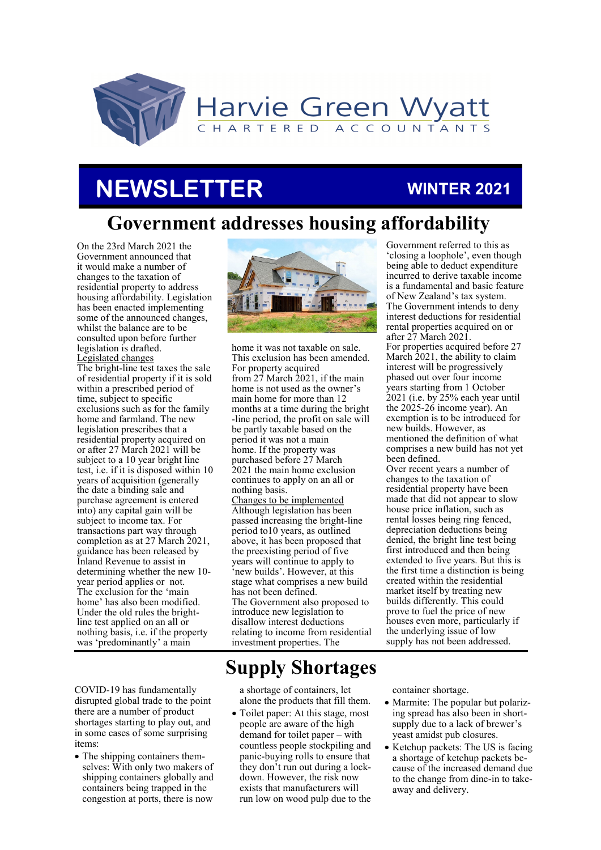

## **NEWSLETTER**

### **WINTER 2021**

### **Government addresses housing affordability**

On the 23rd March 2021 the Government announced that it would make a number of changes to the taxation of residential property to address housing affordability. Legislation has been enacted implementing some of the announced changes, whilst the balance are to be consulted upon before further legislation is drafted. Legislated changes The bright-line test taxes the sale of residential property if it is sold within a prescribed period of time, subject to specific exclusions such as for the family home and farmland. The new legislation prescribes that a residential property acquired on or after 27 March 2021 will be subject to a 10 year bright line test, i.e. if it is disposed within 10 years of acquisition (generally the date a binding sale and purchase agreement is entered into) any capital gain will be subject to income tax. For transactions part way through completion as at 27 March 2021, guidance has been released by Inland Revenue to assist in determining whether the new 10 year period applies or not. The exclusion for the 'main home' has also been modified. Under the old rules the brightline test applied on an all or nothing basis, i.e. if the property was 'predominantly' a main

COVID-19 has fundamentally disrupted global trade to the point there are a number of product shortages starting to play out, and in some cases of some surprising items:

• The shipping containers themselves: With only two makers of shipping containers globally and containers being trapped in the congestion at ports, there is now



home it was not taxable on sale. This exclusion has been amended. For property acquired from 27 March 2021, if the main home is not used as the owner's main home for more than 12 months at a time during the bright -line period, the profit on sale will be partly taxable based on the period it was not a main home. If the property was purchased before 27 March 2021 the main home exclusion continues to apply on an all or nothing basis. Changes to be implemented Although legislation has been passed increasing the bright-line period to10 years, as outlined above, it has been proposed that the preexisting period of five years will continue to apply to 'new builds'. However, at this stage what comprises a new build has not been defined. The Government also proposed to introduce new legislation to disallow interest deductions relating to income from residential investment properties. The

Government referred to this as 'closing a loophole', even though being able to deduct expenditure incurred to derive taxable income is a fundamental and basic feature of New Zealand's tax system. The Government intends to deny interest deductions for residential rental properties acquired on or after 27 March 2021. For properties acquired before 27 March 2021, the ability to claim interest will be progressively phased out over four income years starting from 1 October 2021 (i.e. by 25% each year until the 2025-26 income year). An exemption is to be introduced for new builds. However, as mentioned the definition of what comprises a new build has not yet been defined. Over recent years a number of changes to the taxation of

residential property have been made that did not appear to slow house price inflation, such as rental losses being ring fenced, depreciation deductions being denied, the bright line test being first introduced and then being extended to five years. But this is the first time a distinction is being created within the residential market itself by treating new builds differently. This could prove to fuel the price of new houses even more, particularly if the underlying issue of low supply has not been addressed.

### **Supply Shortages**

a shortage of containers, let alone the products that fill them.

• Toilet paper: At this stage, most people are aware of the high demand for toilet paper – with countless people stockpiling and panic-buying rolls to ensure that they don't run out during a lockdown. However, the risk now exists that manufacturers will run low on wood pulp due to the container shortage.

- Marmite: The popular but polarizing spread has also been in shortsupply due to a lack of brewer's yeast amidst pub closures.
- Ketchup packets: The US is facing a shortage of ketchup packets because of the increased demand due to the change from dine-in to takeaway and delivery.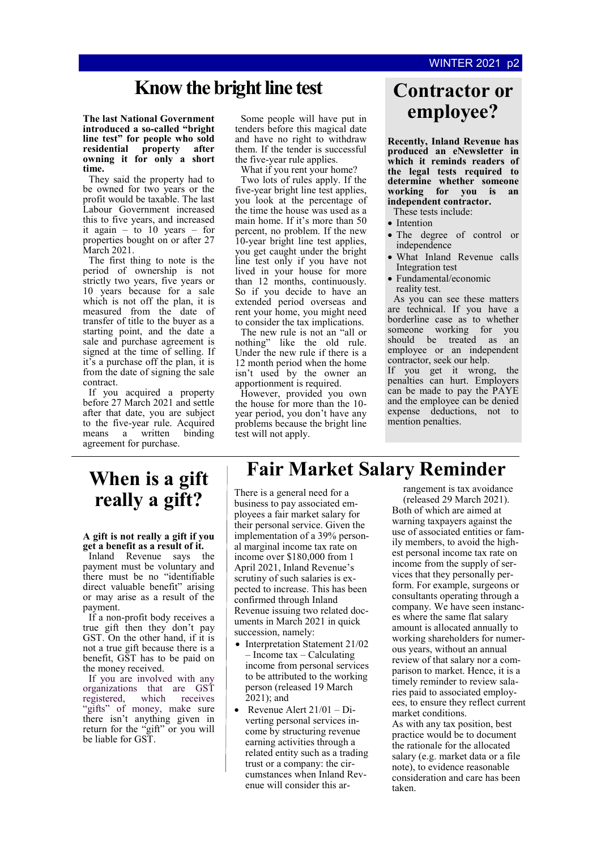### **Know the bright line test Contractor or**

**The last National Government introduced a so-called "bright line test" for people who sold residential property after owning it for only a short time.** 

They said the property had to be owned for two years or the profit would be taxable. The last Labour Government increased this to five years, and increased it again – to  $10$  years – for properties bought on or after 27 March 2021.

The first thing to note is the period of ownership is not strictly two years, five years or 10 years because for a sale which is not off the plan, it is measured from the date of transfer of title to the buyer as a starting point, and the date a sale and purchase agreement is signed at the time of selling. If it's a purchase off the plan, it is from the date of signing the sale contract.

If you acquired a property before 27 March 2021 and settle after that date, you are subject to the five-year rule. Acquired means a written binding agreement for purchase.

Some people will have put in tenders before this magical date and have no right to withdraw them. If the tender is successful the five-year rule applies.

What if you rent your home? Two lots of rules apply. If the five-year bright line test applies, you look at the percentage of the time the house was used as a main home. If it's more than 50 percent, no problem. If the new 10-year bright line test applies, you get caught under the bright line test only if you have not lived in your house for more than 12 months, continuously. So if you decide to have an extended period overseas and rent your home, you might need to consider the tax implications.

The new rule is not an "all or nothing" like the old rule. Under the new rule if there is a 12 month period when the home isn't used by the owner an apportionment is required.

However, provided you own the house for more than the 10 year period, you don't have any problems because the bright line test will not apply.

# **employee?**

**Recently, Inland Revenue has produced an eNewsletter in which it reminds readers of the legal tests required to determine whether someone working for you is an independent contractor.** 

These tests include:

- Intention
- The degree of control or independence
- What Inland Revenue calls Integration test
- Fundamental/economic reality test.

As you can see these matters are technical. If you have a borderline case as to whether someone working for you should be treated as an employee or an independent contractor, seek our help.

If you get it wrong, the penalties can hurt. Employers can be made to pay the PAYE and the employee can be denied expense deductions, not to mention penalties.

### **When is a gift really a gift?**

#### **A gift is not really a gift if you get a benefit as a result of it.**

Inland Revenue says the payment must be voluntary and there must be no "identifiable direct valuable benefit" arising or may arise as a result of the payment.

If a non-profit body receives a true gift then they don't pay GST. On the other hand, if it is not a true gift because there is a benefit, GST has to be paid on the money received.

If you are involved with any organizations that are GST registered, which receives "gifts" of money, make sure there isn't anything given in return for the "gift" or you will be liable for GST.

### **Fair Market Salary Reminder**

There is a general need for a business to pay associated employees a fair market salary for their personal service. Given the implementation of a 39% personal marginal income tax rate on income over \$180,000 from 1 April 2021, Inland Revenue's scrutiny of such salaries is expected to increase. This has been confirmed through Inland Revenue issuing two related documents in March 2021 in quick succession, namely:

- Interpretation Statement 21/02 – Income tax – Calculating income from personal services to be attributed to the working person (released 19 March 2021); and
- Revenue Alert 21/01 Diverting personal services income by structuring revenue earning activities through a related entity such as a trading trust or a company: the circumstances when Inland Revenue will consider this ar-

rangement is tax avoidance (released 29 March 2021). Both of which are aimed at warning taxpayers against the use of associated entities or family members, to avoid the highest personal income tax rate on income from the supply of services that they personally perform. For example, surgeons or consultants operating through a company. We have seen instances where the same flat salary amount is allocated annually to working shareholders for numerous years, without an annual review of that salary nor a comparison to market. Hence, it is a timely reminder to review salaries paid to associated employees, to ensure they reflect current market conditions.

As with any tax position, best practice would be to document the rationale for the allocated salary (e.g. market data or a file note), to evidence reasonable consideration and care has been taken.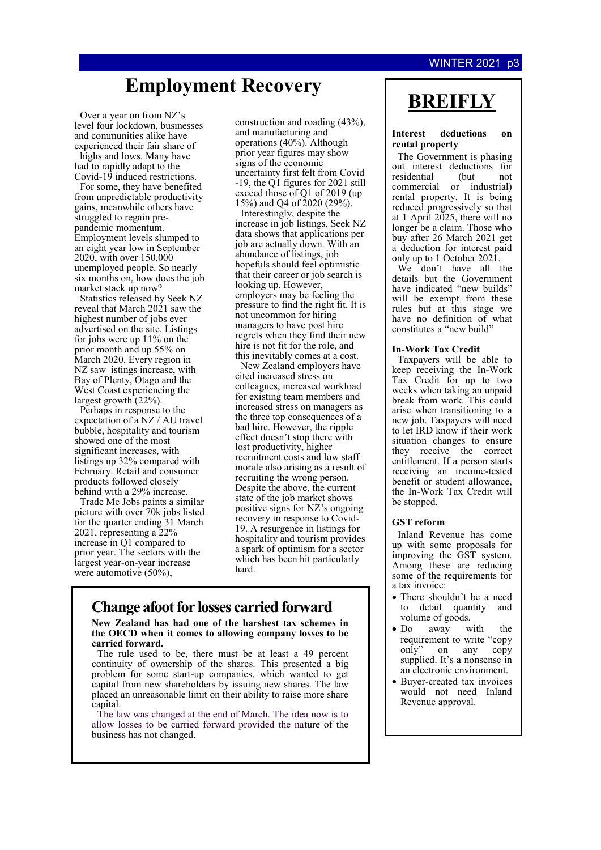#### **WINTER 2021**

### **Employment Recovery**

Over a year on from NZ's level four lockdown, businesses and communities alike have experienced their fair share of highs and lows. Many have

had to rapidly adapt to the Covid-19 induced restrictions. For some, they have benefited

from unpredictable productivity gains, meanwhile others have struggled to regain prepandemic momentum. Employment levels slumped to an eight year low in September 2020, with over 150,000 unemployed people. So nearly six months on, how does the job market stack up now?

Statistics released by Seek NZ reveal that March 2021 saw the highest number of jobs ever advertised on the site. Listings for jobs were up 11% on the prior month and up 55% on March 2020. Every region in NZ saw istings increase, with Bay of Plenty, Otago and the West Coast experiencing the largest growth (22%).

Perhaps in response to the expectation of a NZ / AU travel bubble, hospitality and tourism showed one of the most significant increases, with listings up 32% compared with February. Retail and consumer products followed closely behind with a 29% increase.

Trade Me Jobs paints a similar picture with over 70k jobs listed for the quarter ending 31 March 2021, representing a 22% increase in Q1 compared to prior year. The sectors with the largest year-on-year increase were automotive (50%),

construction and roading (43%), and manufacturing and operations (40%). Although prior year figures may show signs of the economic uncertainty first felt from Covid -19, the Q1 figures for 2021 still exceed those of Q1 of 2019 (up 15%) and Q4 of 2020 (29%).

Interestingly, despite the increase in job listings, Seek NZ data shows that applications per job are actually down. With an abundance of listings, job hopefuls should feel optimistic that their career or job search is looking up. However, employers may be feeling the pressure to find the right fit. It is not uncommon for hiring managers to have post hire regrets when they find their new hire is not fit for the role, and this inevitably comes at a cost.

New Zealand employers have cited increased stress on colleagues, increased workload for existing team members and increased stress on managers as the three top consequences of a bad hire. However, the ripple effect doesn't stop there with lost productivity, higher recruitment costs and low staff morale also arising as a result of recruiting the wrong person. Despite the above, the current state of the job market shows positive signs for NZ's ongoing recovery in response to Covid-19. A resurgence in listings for hospitality and tourism provides a spark of optimism for a sector which has been hit particularly hard.

#### **Change afoot for losses carried forward**

**New Zealand has had one of the harshest tax schemes in the OECD when it comes to allowing company losses to be carried forward.**

The rule used to be, there must be at least a 49 percent continuity of ownership of the shares. This presented a big problem for some start-up companies, which wanted to get capital from new shareholders by issuing new shares. The law placed an unreasonable limit on their ability to raise more share capital.

The law was changed at the end of March. The idea now is to allow losses to be carried forward provided the nature of the business has not changed.

### **BREIFLY**

#### **Interest deductions on rental property**

The Government is phasing out interest deductions for<br>residential (but not residential (but not commercial or industrial) rental property. It is being reduced progressively so that at 1 April 2025, there will no longer be a claim. Those who buy after 26 March 2021 get a deduction for interest paid only up to 1 October 2021.

We don't have all the details but the Government have indicated "new builds" will be exempt from these rules but at this stage we have no definition of what constitutes a "new build"

#### **In-Work Tax Credit**

Taxpayers will be able to keep receiving the In-Work Tax Credit for up to two weeks when taking an unpaid break from work. This could arise when transitioning to a new job. Taxpayers will need to let IRD know if their work situation changes to ensure they receive the correct entitlement. If a person starts receiving an income-tested benefit or student allowance, the In-Work Tax Credit will be stopped.

#### **GST reform**

Inland Revenue has come up with some proposals for improving the GST system. Among these are reducing some of the requirements for a tax invoice:

- There shouldn't be a need to detail quantity and volume of goods.
- Do away with the requirement to write "copy only" on any copy supplied. It's a nonsense in an electronic environment.
- Buyer-created tax invoices would not need Inland Revenue approval.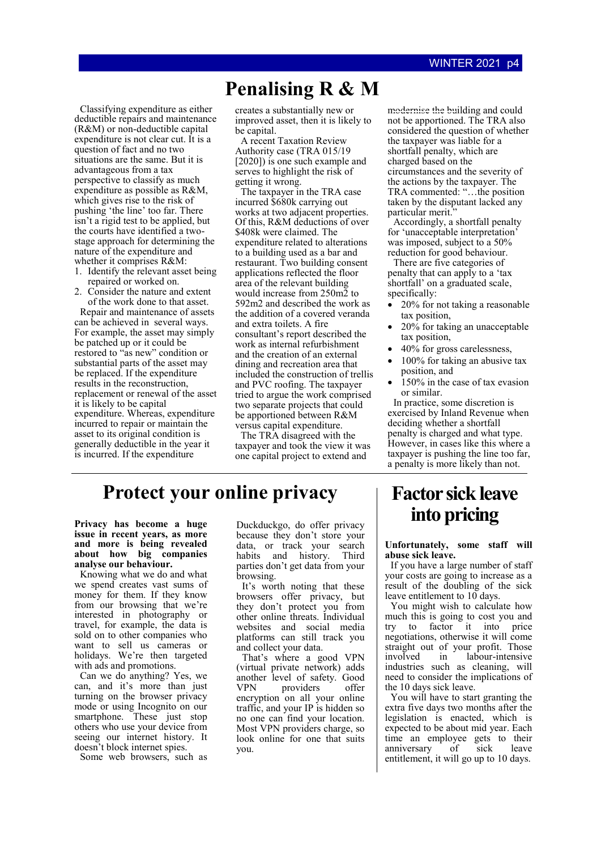### **Penalising R & M**

Classifying expenditure as either deductible repairs and maintenance (R&M) or non-deductible capital expenditure is not clear cut. It is a question of fact and no two situations are the same. But it is advantageous from a tax perspective to classify as much expenditure as possible as R&M, which gives rise to the risk of pushing 'the line' too far. There isn't a rigid test to be applied, but the courts have identified a twostage approach for determining the nature of the expenditure and whether it comprises R&M:

1. Identify the relevant asset being repaired or worked on.

2. Consider the nature and extent of the work done to that asset.

Repair and maintenance of assets can be achieved in several ways. For example, the asset may simply be patched up or it could be restored to "as new" condition or substantial parts of the asset may be replaced. If the expenditure results in the reconstruction, replacement or renewal of the asset it is likely to be capital expenditure. Whereas, expenditure incurred to repair or maintain the asset to its original condition is generally deductible in the year it is incurred. If the expenditure

creates a substantially new or improved asset, then it is likely to be capital.

A recent Taxation Review Authority case (TRA 015/19 [2020]) is one such example and serves to highlight the risk of getting it wrong.

The taxpayer in the TRA case incurred \$680k carrying out works at two adjacent properties. Of this, R&M deductions of over \$408k were claimed. The expenditure related to alterations to a building used as a bar and restaurant. Two building consent applications reflected the floor area of the relevant building would increase from 250m2 to 592m2 and described the work as the addition of a covered veranda and extra toilets. A fire consultant's report described the work as internal refurbishment and the creation of an external dining and recreation area that included the construction of trellis and PVC roofing. The taxpayer tried to argue the work comprised two separate projects that could be apportioned between R&M versus capital expenditure.

The TRA disagreed with the taxpayer and took the view it was one capital project to extend and

modernise the building and could not be apportioned. The TRA also considered the question of whether the taxpayer was liable for a shortfall penalty, which are charged based on the circumstances and the severity of the actions by the taxpayer. The TRA commented: "…the position taken by the disputant lacked any particular merit."

Accordingly, a shortfall penalty for 'unacceptable interpretation' was imposed, subject to a 50% reduction for good behaviour.

There are five categories of penalty that can apply to a 'tax shortfall' on a graduated scale, specifically:

- 20% for not taking a reasonable tax position,
- 20% for taking an unacceptable tax position,
- 40% for gross carelessness,
- 100% for taking an abusive tax position, and
- 150% in the case of tax evasion or similar.

In practice, some discretion is exercised by Inland Revenue when deciding whether a shortfall penalty is charged and what type. However, in cases like this where a taxpayer is pushing the line too far, a penalty is more likely than not.

### **Protect your online privacy**

**Privacy has become a huge issue in recent years, as more and more is being revealed about how big companies analyse our behaviour.**

Knowing what we do and what we spend creates vast sums of money for them. If they know from our browsing that we're interested in photography or travel, for example, the data is sold on to other companies who want to sell us cameras or holidays. We're then targeted with ads and promotions.

Can we do anything? Yes, we can, and it's more than just turning on the browser privacy mode or using Incognito on our smartphone. These just stop others who use your device from seeing our internet history. It doesn't block internet spies.

Some web browsers, such as

Duckduckgo, do offer privacy because they don't store your data, or track your search habits and history. Third parties don't get data from your browsing.

It's worth noting that these browsers offer privacy, but they don't protect you from other online threats. Individual websites and social media platforms can still track you and collect your data.

That's where a good VPN (virtual private network) adds another level of safety. Good VPN providers offer encryption on all your online traffic, and your IP is hidden so no one can find your location. Most VPN providers charge, so look online for one that suits you.

### **Factor sick leave into pricing**

#### **Unfortunately, some staff will abuse sick leave.**

If you have a large number of staff your costs are going to increase as a result of the doubling of the sick leave entitlement to  $10$  days.

You might wish to calculate how much this is going to cost you and try to factor it into price negotiations, otherwise it will come straight out of your profit. Those<br>involved in labour-intensive in labour-intensive industries such as cleaning, will need to consider the implications of the 10 days sick leave.

You will have to start granting the extra five days two months after the legislation is enacted, which is expected to be about mid year. Each time an employee gets to their<br>anniversary of sick leave anniversary of sick leave entitlement, it will go up to 10 days.